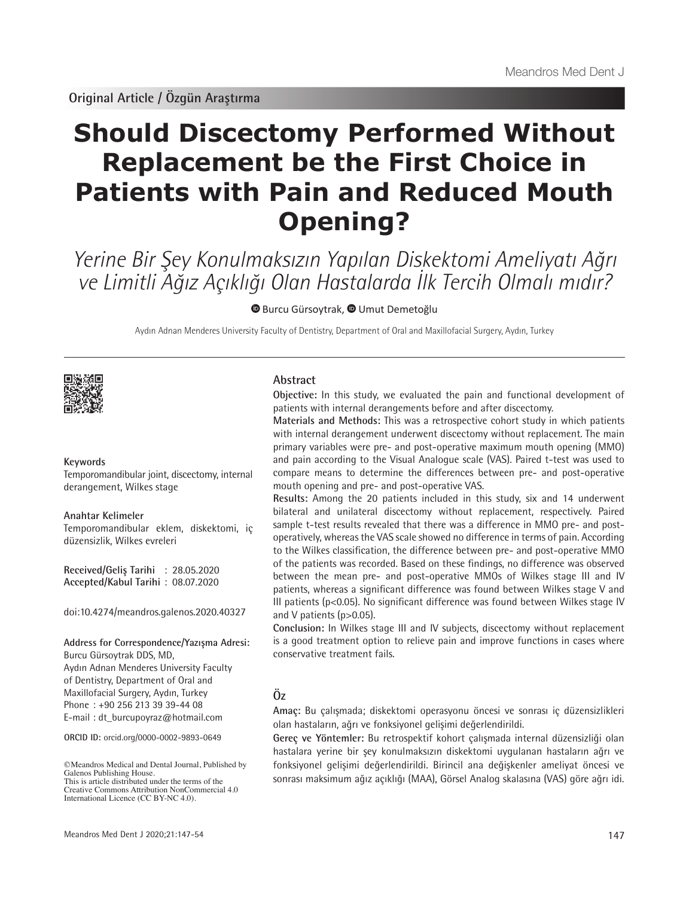# **Should Discectomy Performed Without Replacement be the First Choice in Patients with Pain and Reduced Mouth Opening?**

Yerine Bir Şey Konulmaksızın Yapılan Diskektomi Ameliyatı Ağrı ve Limitli Ağız Açıklığı Olan Hastalarda İlk Tercih Olmalı mıdır?

**BurcuGürsoytrak, © Umut Demetoğlu** 

Aydın Adnan Menderes University Faculty of Dentistry, Department of Oral and Maxillofacial Surgery, Aydın, Turkey



#### **Keywords**

Temporomandibular joint, discectomy, internal derangement, Wilkes stage

**Anahtar Kelimeler** Temporomandibular eklem, diskektomi, iç düzensizlik, Wilkes evreleri

**Received/Geliş Tarihi** : 28.05.2020 **Accepted/Kabul Tarihi** : 08.07.2020

doi:10.4274/meandros.galenos.2020.40327

#### **Address for Correspondence/Yazışma Adresi:**

Burcu Gürsoytrak DDS, MD, Aydın Adnan Menderes University Faculty of Dentistry, Department of Oral and Maxillofacial Surgery, Aydın, Turkey Phone : +90 256 213 39 39-44 08 E-mail: dt\_burcupoyraz@hotmail.com

**ORCID ID:** orcid.org/0000-0002-9893-0649

#### **Abstract**

**Objective:** In this study, we evaluated the pain and functional development of patients with internal derangements before and after discectomy.

**Materials and Methods:** This was a retrospective cohort study in which patients with internal derangement underwent discectomy without replacement. The main primary variables were pre- and post-operative maximum mouth opening (MMO) and pain according to the Visual Analogue scale (VAS). Paired t-test was used to compare means to determine the differences between pre- and post-operative mouth opening and pre- and post-operative VAS.

**Results:** Among the 20 patients included in this study, six and 14 underwent bilateral and unilateral discectomy without replacement, respectively. Paired sample t-test results revealed that there was a difference in MMO pre- and postoperatively, whereas the VAS scale showed no difference in terms of pain. According to the Wilkes classification, the difference between pre- and post-operative MMO of the patients was recorded. Based on these findings, no difference was observed between the mean pre- and post-operative MMOs of Wilkes stage III and IV patients, whereas a significant difference was found between Wilkes stage V and III patients (p<0.05). No significant difference was found between Wilkes stage IV and V patients (p>0.05).

**Conclusion:** In Wilkes stage III and IV subjects, discectomy without replacement is a good treatment option to relieve pain and improve functions in cases where conservative treatment fails.

# **Öz**

**Amaç:** Bu çalışmada; diskektomi operasyonu öncesi ve sonrası iç düzensizlikleri olan hastaların, ağrı ve fonksiyonel gelişimi değerlendirildi.

**Gereç ve Yöntemler:** Bu retrospektif kohort çalışmada internal düzensizliği olan hastalara yerine bir şey konulmaksızın diskektomi uygulanan hastaların ağrı ve fonksiyonel gelişimi değerlendirildi. Birincil ana değişkenler ameliyat öncesi ve sonrası maksimum ağız açıklığı (MAA), Görsel Analog skalasına (VAS) göre ağrı idi.

<sup>©</sup>Meandros Medical and Dental Journal, Published by Galenos Publishing House. This is article distributed under the terms of the

Creative Commons Attribution NonCommercial 4.0 International Licence (CC BY-NC 4.0).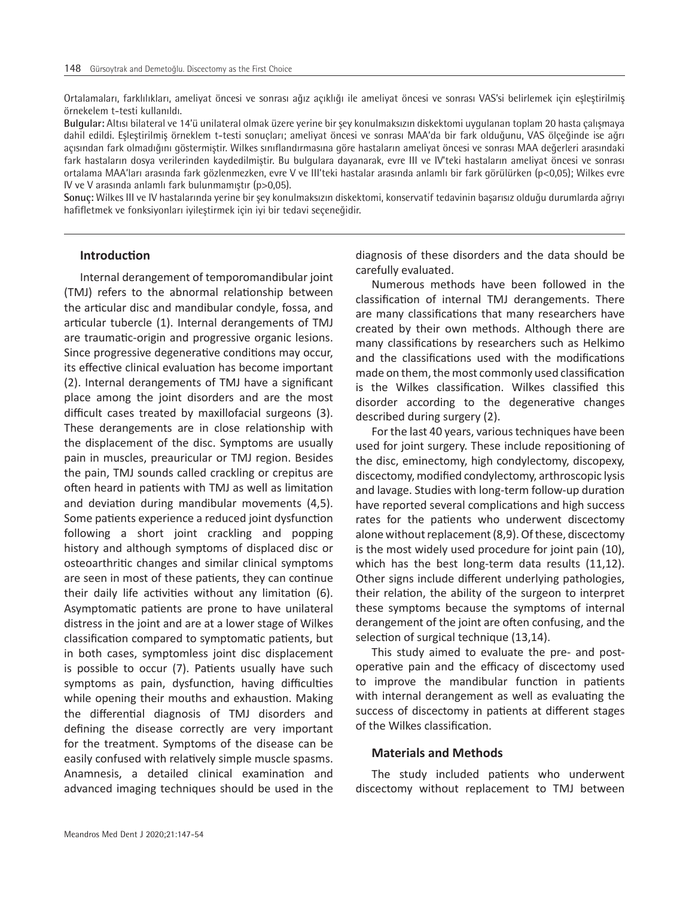Ortalamaları, farklılıkları, ameliyat öncesi ve sonrası ağız açıklığı ile ameliyat öncesi ve sonrası VAS'si belirlemek için eşleştirilmiş örnekelem t-testi kullanıldı.

**Bulgular:** Altısı bilateral ve 14'ü unilateral olmak üzere yerine bir şey konulmaksızın diskektomi uygulanan toplam 20 hasta çalışmaya dahil edildi. Eşleştirilmiş örneklem t-testi sonuçları; ameliyat öncesi ve sonrası MAA'da bir fark olduğunu, VAS ölçeğinde ise ağrı açısından fark olmadığını göstermiştir. Wilkes sınıflandırmasına göre hastaların ameliyat öncesi ve sonrası MAA değerleri arasındaki fark hastaların dosya verilerinden kaydedilmiştir. Bu bulgulara dayanarak, evre III ve IV'teki hastaların ameliyat öncesi ve sonrası ortalama MAA'ları arasında fark gözlenmezken, evre V ve III'teki hastalar arasında anlamlı bir fark görülürken (p<0,05); Wilkes evre IV ve V arasında anlamlı fark bulunmamıştır (p>0,05).

**Sonuç:** Wilkes III ve IV hastalarında yerine bir şey konulmaksızın diskektomi, konservatif tedavinin başarısız olduğu durumlarda ağrıyı hafifletmek ve fonksiyonları iyileştirmek için iyi bir tedavi seçeneğidir.

# **Introduction**

Internal derangement of temporomandibular joint (TMJ) refers to the abnormal relationship between the articular disc and mandibular condyle, fossa, and articular tubercle (1). Internal derangements of TMJ are traumatic-origin and progressive organic lesions. Since progressive degenerative conditions may occur, its effective clinical evaluation has become important (2). Internal derangements of TMJ have a significant place among the joint disorders and are the most difficult cases treated by maxillofacial surgeons (3). These derangements are in close relationship with the displacement of the disc. Symptoms are usually pain in muscles, preauricular or TMJ region. Besides the pain, TMJ sounds called crackling or crepitus are often heard in patients with TMJ as well as limitation and deviation during mandibular movements (4,5). Some patients experience a reduced joint dysfunction following a short joint crackling and popping history and although symptoms of displaced disc or osteoarthritic changes and similar clinical symptoms are seen in most of these patients, they can continue their daily life activities without any limitation (6). Asymptomatic patients are prone to have unilateral distress in the joint and are at a lower stage of Wilkes classification compared to symptomatic patients, but in both cases, symptomless joint disc displacement is possible to occur (7). Patients usually have such symptoms as pain, dysfunction, having difficulties while opening their mouths and exhaustion. Making the differential diagnosis of TMJ disorders and defining the disease correctly are very important for the treatment. Symptoms of the disease can be easily confused with relatively simple muscle spasms. Anamnesis, a detailed clinical examination and advanced imaging techniques should be used in the

diagnosis of these disorders and the data should be carefully evaluated.

Numerous methods have been followed in the classification of internal TMJ derangements. There are many classifications that many researchers have created by their own methods. Although there are many classifications by researchers such as Helkimo and the classifications used with the modifications made on them, the most commonly used classification is the Wilkes classification. Wilkes classified this disorder according to the degenerative changes described during surgery (2).

For the last 40 years, various techniques have been used for joint surgery. These include repositioning of the disc, eminectomy, high condylectomy, discopexy, discectomy, modified condylectomy, arthroscopic lysis and lavage. Studies with long-term follow-up duration have reported several complications and high success rates for the patients who underwent discectomy alone without replacement (8,9). Of these, discectomy is the most widely used procedure for joint pain (10), which has the best long-term data results (11,12). Other signs include different underlying pathologies, their relation, the ability of the surgeon to interpret these symptoms because the symptoms of internal derangement of the joint are often confusing, and the selection of surgical technique (13,14).

This study aimed to evaluate the pre- and postoperative pain and the efficacy of discectomy used to improve the mandibular function in patients with internal derangement as well as evaluating the success of discectomy in patients at different stages of the Wilkes classification.

#### **Materials and Methods**

The study included patients who underwent discectomy without replacement to TMJ between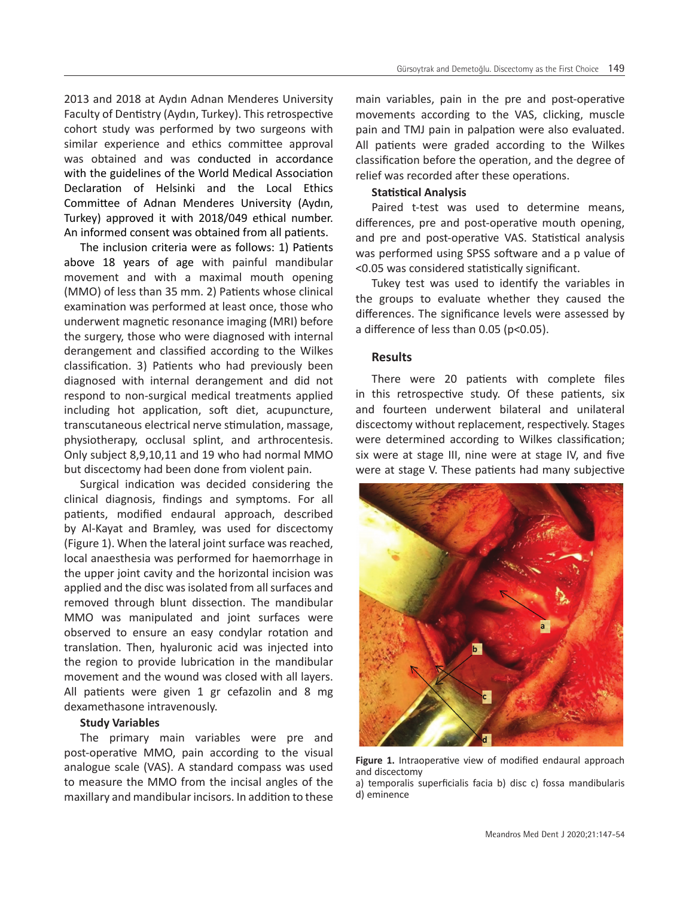2013 and 2018 at Aydın Adnan Menderes University Faculty of Dentistry (Aydın, Turkey). This retrospective cohort study was performed by two surgeons with similar experience and ethics committee approval was obtained and was conducted in accordance with the guidelines of the World Medical Association Declaration of Helsinki and the Local Ethics Committee of Adnan Menderes University (Aydın, Turkey) approved it with 2018/049 ethical number. An informed consent was obtained from all patients.

The inclusion criteria were as follows: 1) Patients above 18 years of age with painful mandibular movement and with a maximal mouth opening (MMO) of less than 35 mm. 2) Patients whose clinical examination was performed at least once, those who underwent magnetic resonance imaging (MRI) before the surgery, those who were diagnosed with internal derangement and classified according to the Wilkes classification. 3) Patients who had previously been diagnosed with internal derangement and did not respond to non-surgical medical treatments applied including hot application, soft diet, acupuncture, transcutaneous electrical nerve stimulation, massage, physiotherapy, occlusal splint, and arthrocentesis. Only subject 8,9,10,11 and 19 who had normal MMO but discectomy had been done from violent pain.

Surgical indication was decided considering the clinical diagnosis, findings and symptoms. For all patients, modified endaural approach, described by Al-Kayat and Bramley, was used for discectomy (Figure 1). When the lateral joint surface was reached, local anaesthesia was performed for haemorrhage in the upper joint cavity and the horizontal incision was applied and the disc was isolated from all surfaces and removed through blunt dissection. The mandibular MMO was manipulated and joint surfaces were observed to ensure an easy condylar rotation and translation. Then, hyaluronic acid was injected into the region to provide lubrication in the mandibular movement and the wound was closed with all layers. All patients were given 1 gr cefazolin and 8 mg dexamethasone intravenously.

#### **Study Variables**

The primary main variables were pre and post-operative MMO, pain according to the visual analogue scale (VAS). A standard compass was used to measure the MMO from the incisal angles of the maxillary and mandibular incisors. In addition to these main variables, pain in the pre and post-operative movements according to the VAS, clicking, muscle pain and TMJ pain in palpation were also evaluated. All patients were graded according to the Wilkes classification before the operation, and the degree of relief was recorded after these operations.

#### **Statistical Analysis**

Paired t-test was used to determine means, differences, pre and post-operative mouth opening, and pre and post-operative VAS. Statistical analysis was performed using SPSS software and a p value of <0.05 was considered statistically significant.

Tukey test was used to identify the variables in the groups to evaluate whether they caused the differences. The significance levels were assessed by a difference of less than 0.05 (p<0.05).

# **Results**

There were 20 patients with complete files in this retrospective study. Of these patients, six and fourteen underwent bilateral and unilateral discectomy without replacement, respectively. Stages were determined according to Wilkes classification; six were at stage III, nine were at stage IV, and five were at stage V. These patients had many subjective



Figure 1. Intraoperative view of modified endaural approach and discectomy

a) temporalis superficialis facia b) disc c) fossa mandibularis d) eminence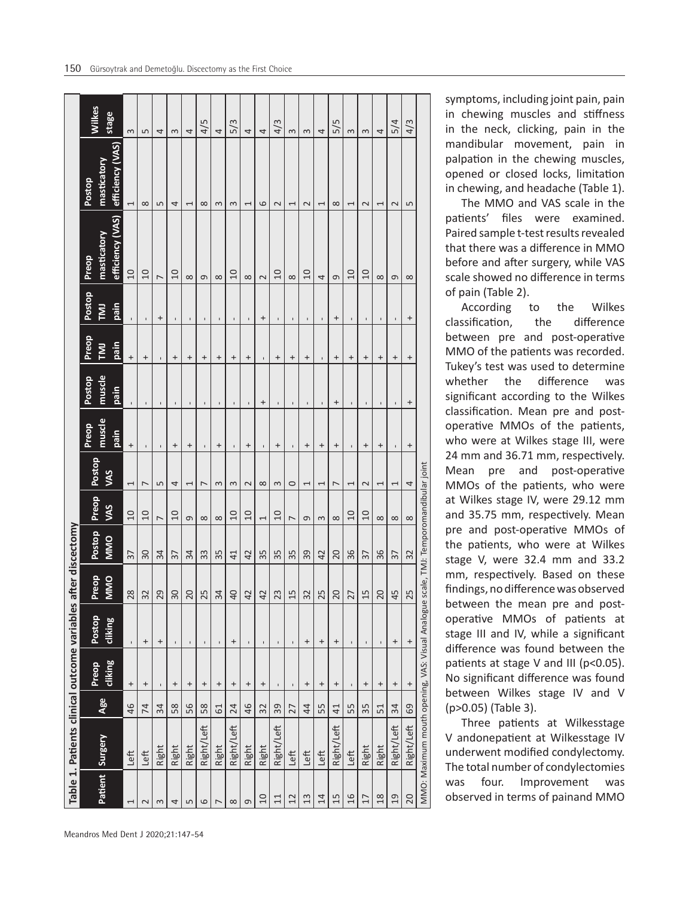|                | Table 1. Patients clinical outcome variables                                         |                |                   |                  |                 | after discectomy |                |                          |                                       |                                       |                                  |                                 |                                 |                                 |          |
|----------------|--------------------------------------------------------------------------------------|----------------|-------------------|------------------|-----------------|------------------|----------------|--------------------------|---------------------------------------|---------------------------------------|----------------------------------|---------------------------------|---------------------------------|---------------------------------|----------|
|                |                                                                                      |                | Preop             | Postop           | Preop           | Postop           | Preop          | Postop                   | Preop                                 | Postop                                | Preop                            | Postop                          | Preop                           | Postop                          | Wilkes   |
| Patient        | <b>Surgery</b>                                                                       | Age            | cliking           | <b>cliking</b>   | <b>MMO</b>      | <b>MINO</b>      | <b>SAV</b>     | SM                       | muscle<br>pain                        | muscle<br>pain                        | pain<br><b>IML</b>               | pain<br>$\overline{\mathsf{z}}$ | efficiency (VAS)<br>masticatory | efficiency (VAS)<br>masticatory | stage    |
|                | Left                                                                                 | 46             | $^{+}$            | $\,$             | 28              | $\overline{37}$  | 10             | 1                        | $\begin{array}{c} + \end{array}$      |                                       | $^{+}$                           | $\mathbf{I}$                    | $\Omega$                        | 1                               | $\sim$   |
| $\mathbf 2$    | Left                                                                                 | 74             | $^{+}$            | $\ddot{}$        | 32              | 30               | $\overline{0}$ | $\overline{ }$           |                                       |                                       | $^{+}$                           | $\mathbf{I}$                    | $\overline{0}$                  | $\infty$                        | Б        |
| S              | Right                                                                                | 34             | $\blacksquare$    | $\,{}^{+}\,$     | $\frac{1}{2}$   | 34               | $\overline{ }$ | S                        | $\mathbf I$                           | $\begin{array}{c} \hline \end{array}$ | $\mathbf I$                      | $^{+}$                          | $\overline{ }$                  | 5                               | 4        |
| 4              | Right                                                                                | 58             | $\ddot{}$         | $\blacksquare$   | 30              | 57               | $\overline{0}$ | 4                        | $^{+}$                                | $\blacksquare$                        | $^{+}$                           | $\mathbf{I}$                    | $\overline{0}$                  | 4                               | $\sim$   |
| 5              | Right                                                                                | 56             | $\,^+$            | $\mathbf{I}$     | 20              | 34               | G              | 1                        | $\,^+$                                | $\blacksquare$                        | $\,^+$                           | $\mathbf I$                     | $\infty$                        | 1                               | 4        |
| 6              | Right/Left                                                                           | 58             | $^{+}$            | $\mathbf{I}$     | $\frac{15}{2}$  | 33               | $\infty$       | $\overline{ }$           | $\mathbf{I}$                          |                                       | $\ddot{}$                        | $\mathbf{I}$                    | G                               | $\infty$                        | 4/5      |
| $\overline{ }$ | Right                                                                                | 61             | $\,^+$            | $\mathbf{I}$     | $\frac{34}{3}$  | 35               | ${}^{\circ}$   | 3                        | $\ddot{}$                             |                                       | $\,^+$                           | $\mathbf{I}$                    | $\infty$                        | 3                               | 4        |
| ${}^{\infty}$  | Right/Left                                                                           | 24             | $\,{}^{+}\,$      | $\ddot{}$        | Q <sub>b</sub>  | 41               | $\overline{a}$ | $\sim$                   | $\mathsf{I}\hspace{-1.5pt}\mathsf{I}$ | $\begin{array}{c} \hline \end{array}$ | $^{+}$                           | $\blacksquare$                  | $\Omega$                        | 3                               | 5/3      |
| $\sigma$       | Right                                                                                | 46             | $\ddot{}$         | $\blacksquare$   | 42              | 42               | 10             | $\sim$                   | $\ddot{}$                             |                                       | $\ddot{}$                        | $\mathbf{I}$                    | $\infty$                        | $\overline{\phantom{0}}$        | 4        |
| $\Omega$       | Right                                                                                | 32             | $^{+}$            | $\blacksquare$   | 42              | 35               | $\overline{1}$ | ${}^{\infty}$            | $\mathbf{I}$                          | $\,^+$                                | $\mathbf{I}$                     | $\qquad \qquad +$               | $\sim$                          | 6                               | 4        |
| 11             | Right/Left                                                                           | 39             | $\mathbf I$       | $\mathbf{I}$     | 23              | 35               | $\Omega$       | $\sim$                   | $\,{}^{+}\,$                          | $\blacksquare$                        | $\boldsymbol{+}$                 | $\blacksquare$                  | $\Omega$                        | $\sim$                          | 4/3      |
| 12             | Left                                                                                 | 27             | $\blacksquare$    | ı                | 15              | 35               | $\overline{ }$ | $\circ$                  |                                       |                                       | $\begin{array}{c} + \end{array}$ | $\mathbf{I}$                    | $\infty$                        | $\overline{\phantom{0}}$        | $\infty$ |
| 13             | Left                                                                                 | $\overline{4}$ | $\ddot{}$         | $\,^+$           | $\frac{2}{3}$   | 39               | G              | 1                        | $\ddot{}$                             | $\blacksquare$                        | $\qquad \qquad +$                | $\mathbf I$                     | $\overline{0}$                  | $\sim$                          | 3        |
| 14             | Left                                                                                 | 55             | $\boldsymbol{+}$  | $\boldsymbol{+}$ | $\frac{25}{2}$  | 42               | $\infty$       | Ţ                        | $\ddot{}$                             |                                       |                                  | $\mathbf I$                     | 4                               | $\overline{\phantom{0}}$        | 4        |
| 15             | Right/Left                                                                           | 41             | $^{+}$            | $\ddot{}$        | $\frac{1}{2}$   | 20               | $\infty$       | $\overline{ }$           | $\pmb{+}$                             | +                                     | $\pmb{+}$                        | $\pmb{+}$                       | G                               | $\infty$                        | 5/5      |
| 16             | Left                                                                                 | 55             | $\mathbf{I}$      | $\mathbf{I}$     | $\overline{27}$ | 36               | $\Omega$       | $\overline{ }$           | $\mathbf I$                           |                                       | $\pmb{+}$                        | $\mathbf I$                     | $\Omega$                        | $\overline{ }$                  | $\sim$   |
| 17             | Right                                                                                | 35             | $^{+}$            | $\mathbf I$      | 15              | $\overline{5}$   | $\overline{a}$ | $\sim$                   | $^{+}$                                | $\mathbf{I}$                          | $\ddot{}$                        | $\mathbf I$                     | $\Omega$                        | $\sim$                          | $\infty$ |
| 18             | Right                                                                                | 51             | $\ddot{}$         | $\mathbf{I}$     | 20              | 36               | $\infty$       | $\overline{\phantom{0}}$ | $\ddot{}$                             |                                       | $\ddot{}$                        | $\mathbf{I}$                    | $\infty$                        | $\overline{\phantom{0}}$        | 4        |
| 19             | Right/Left                                                                           | 34             | $\qquad \qquad +$ | $^{+}$           | 45              | 37               | $\infty$       | 1                        | $\blacksquare$                        |                                       | $^{+}$                           | $\mathbf I$                     | $\sigma$                        | $\sim$                          | 5/4      |
| 20             | Right/Left                                                                           | 69             | $^{+}$            | $^{+}$           | 25              | 32               | $\infty$       | 4                        | $^{+}$                                | $\ddot{}$                             | $^{+}$                           | $^{+}$                          | $\infty$                        | LŊ                              | 4/3      |
|                | MMO: Maximum mouth opening, VAS: Visual Analogue scale, TMJ: Temporomandibular joint |                |                   |                  |                 |                  |                |                          |                                       |                                       |                                  |                                 |                                 |                                 |          |

symptoms, including joint pain, pain in chewing muscles and stiffness in the neck, clicking, pain in the mandibular movement, pain in palpation in the chewing muscles, opened or closed locks, limitation in chewing, and headache (Table 1).

The MMO and VAS scale in the patients' files were examined. Paired sample t-test results revealed that there was a difference in MMO before and after surgery, while VAS scale showed no difference in terms of pain (Table 2).

According to the Wilkes classification, the difference between pre and post-operative MMO of the patients was recorded. Tukey's test was used to determine whether the difference was significant according to the Wilkes classification. Mean pre and postoperative MMOs of the patients, who were at Wilkes stage III, were 24 mm and 36.71 mm, respectively. Mean pre and post-operative MMOs of the patients, who were at Wilkes stage IV, were 29.12 mm and 35.75 mm, respectively. Mean pre and post-operative MMOs of the patients, who were at Wilkes stage V, were 32.4 mm and 33.2 mm, respectively. Based on these findings, no difference was observed between the mean pre and postoperative MMOs of patients at stage III and IV, while a significant difference was found between the patients at stage V and III (p<0.05). No significant difference was found between Wilkes stage IV and V (p>0.05) (Table 3).

Three patients at Wilkesstage V andonepatient at Wilkesstage IV underwent modified condylectomy. The total number of condylectomies was four. Improvement was observed in terms of painand MMO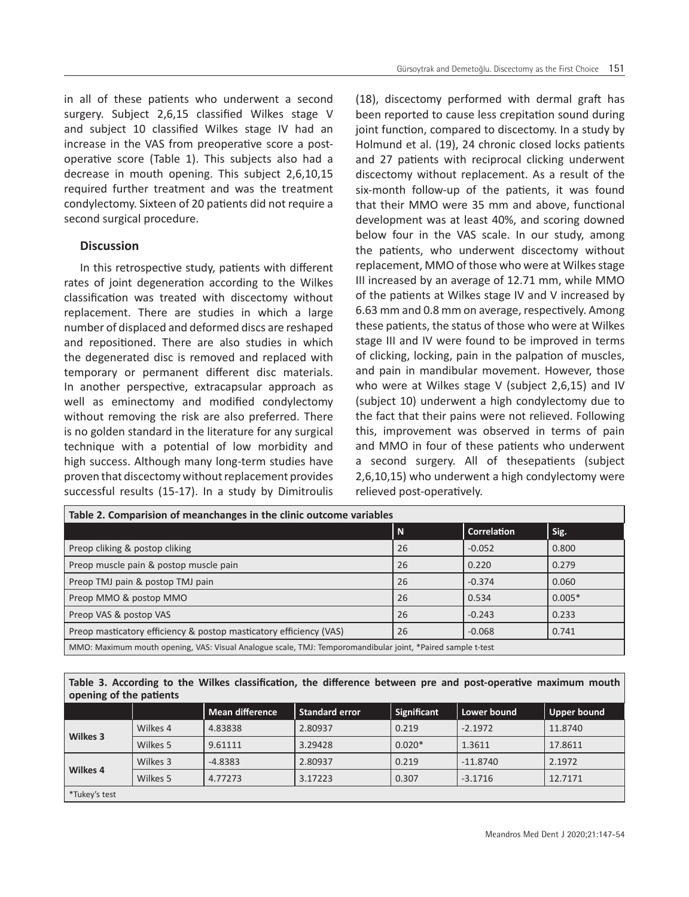in all of these patients who underwent a second surgery. Subject 2,6,15 classified Wilkes stage V and subject 10 classified Wilkes stage IV had an increase in the VAS from preoperative score a postoperative score (Table 1). This subjects also had a decrease in mouth opening. This subject 2,6,10,15 required further treatment and was the treatment condylectomy. Sixteen of 20 patients did not require a second surgical procedure.

# **Discussion**

In this retrospective study, patients with different rates of joint degeneration according to the Wilkes classification was treated with discectomy without replacement. There are studies in which a large number of displaced and deformed discs are reshaped and repositioned. There are also studies in which the degenerated disc is removed and replaced with temporary or permanent different disc materials. In another perspective, extracapsular approach as well as eminectomy and modified condylectomy without removing the risk are also preferred. There is no golden standard in the literature for any surgical technique with a potential of low morbidity and high success. Although many long-term studies have proven that discectomy without replacement provides successful results (15-17). In a study by Dimitroulis (18), discectomy performed with dermal graft has been reported to cause less crepitation sound during joint function, compared to discectomy. In a study by Holmund et al. (19), 24 chronic closed locks patients and 27 patients with reciprocal clicking underwent discectomy without replacement. As a result of the six-month follow-up of the patients, it was found that their MMO were 35 mm and above, functional development was at least 40%, and scoring downed below four in the VAS scale. In our study, among the patients, who underwent discectomy without replacement, MMO of those who were at Wilkes stage III increased by an average of 12.71 mm, while MMO of the patients at Wilkes stage IV and V increased by 6.63 mm and 0.8 mm on average, respectively. Among these patients, the status of those who were at Wilkes stage III and IV were found to be improved in terms of clicking, locking, pain in the palpation of muscles, and pain in mandibular movement. However, those who were at Wilkes stage V (subject 2,6,15) and IV (subject 10) underwent a high condylectomy due to the fact that their pains were not relieved. Following this, improvement was observed in terms of pain and MMO in four of these patients who underwent a second surgery. All of thesepatients (subject 2,6,10,15) who underwent a high condylectomy were relieved post-operatively.

| Table 2. Comparision of meanchanges in the clinic outcome variables                                         |    |                    |          |  |  |  |
|-------------------------------------------------------------------------------------------------------------|----|--------------------|----------|--|--|--|
|                                                                                                             | N  | <b>Correlation</b> | Sig.     |  |  |  |
| Preop cliking & postop cliking                                                                              | 26 | $-0.052$           | 0.800    |  |  |  |
| Preop muscle pain & postop muscle pain                                                                      | 26 | 0.220              | 0.279    |  |  |  |
| Preop TMJ pain & postop TMJ pain                                                                            | 26 | $-0.374$           | 0.060    |  |  |  |
| Preop MMO & postop MMO                                                                                      | 26 | 0.534              | $0.005*$ |  |  |  |
| Preop VAS & postop VAS                                                                                      | 26 | $-0.243$           | 0.233    |  |  |  |
| Preop masticatory efficiency & postop masticatory efficiency (VAS)                                          | 26 | $-0.068$           | 0.741    |  |  |  |
| MMO: Maximum mouth opening, VAS: Visual Analogue scale, TMJ: Temporomandibular joint, *Paired sample t-test |    |                    |          |  |  |  |

# **Table 3. According to the Wilkes classification, the difference between pre and post-operative maximum mouth opening of the patients**

|               |          | <b>Mean difference</b> | <b>Standard error</b> | Significant | Lower bound | Upper bound |
|---------------|----------|------------------------|-----------------------|-------------|-------------|-------------|
|               | Wilkes 4 | 4.83838                | 2.80937               | 0.219       | $-2.1972$   | 11.8740     |
| Wilkes 3      | Wilkes 5 | 9.61111                | 3.29428               | $0.020*$    | 1.3611      | 17.8611     |
| Wilkes 4      | Wilkes 3 | $-4.8383$              | 2.80937               | 0.219       | $-11.8740$  | 2.1972      |
|               | Wilkes 5 | 4.77273                | 3.17223               | 0.307       | $-3.1716$   | 12.7171     |
| *Tukey's test |          |                        |                       |             |             |             |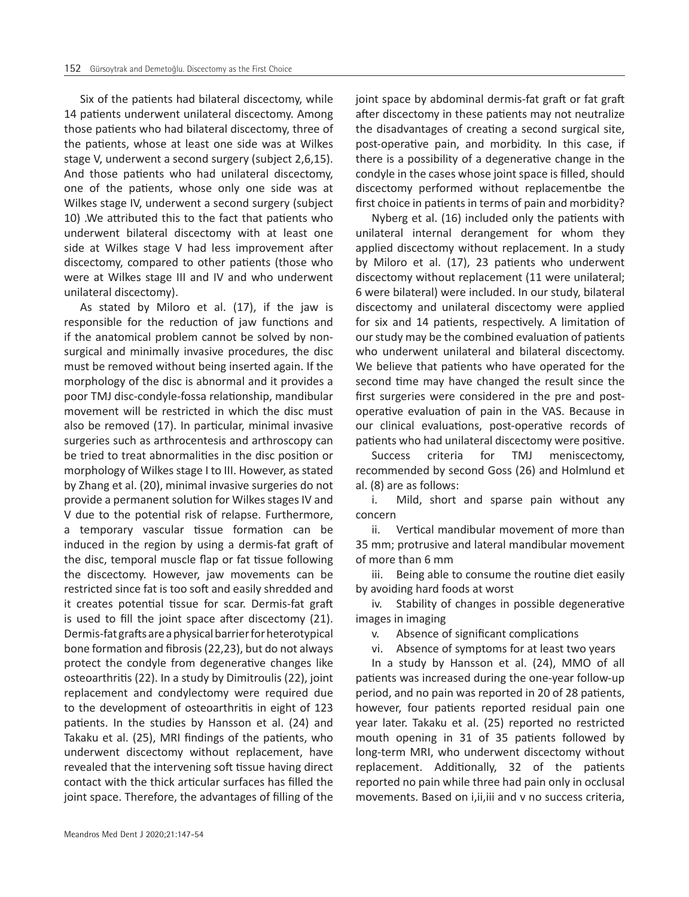Six of the patients had bilateral discectomy, while 14 patients underwent unilateral discectomy. Among those patients who had bilateral discectomy, three of the patients, whose at least one side was at Wilkes stage V, underwent a second surgery (subject 2,6,15). And those patients who had unilateral discectomy, one of the patients, whose only one side was at Wilkes stage IV, underwent a second surgery (subject 10) .We attributed this to the fact that patients who underwent bilateral discectomy with at least one side at Wilkes stage V had less improvement after discectomy, compared to other patients (those who were at Wilkes stage III and IV and who underwent unilateral discectomy).

As stated by Miloro et al. (17), if the jaw is responsible for the reduction of jaw functions and if the anatomical problem cannot be solved by nonsurgical and minimally invasive procedures, the disc must be removed without being inserted again. If the morphology of the disc is abnormal and it provides a poor TMJ disc-condyle-fossa relationship, mandibular movement will be restricted in which the disc must also be removed (17). In particular, minimal invasive surgeries such as arthrocentesis and arthroscopy can be tried to treat abnormalities in the disc position or morphology of Wilkes stage I to III. However, as stated by Zhang et al. (20), minimal invasive surgeries do not provide a permanent solution for Wilkes stages IV and V due to the potential risk of relapse. Furthermore, a temporary vascular tissue formation can be induced in the region by using a dermis-fat graft of the disc, temporal muscle flap or fat tissue following the discectomy. However, jaw movements can be restricted since fat is too soft and easily shredded and it creates potential tissue for scar. Dermis-fat graft is used to fill the joint space after discectomy (21). Dermis-fat grafts are a physical barrier for heterotypical bone formation and fibrosis (22,23), but do not always protect the condyle from degenerative changes like osteoarthritis (22). In a study by Dimitroulis (22), joint replacement and condylectomy were required due to the development of osteoarthritis in eight of 123 patients. In the studies by Hansson et al. (24) and Takaku et al. (25), MRI findings of the patients, who underwent discectomy without replacement, have revealed that the intervening soft tissue having direct contact with the thick articular surfaces has filled the joint space. Therefore, the advantages of filling of the

joint space by abdominal dermis-fat graft or fat graft after discectomy in these patients may not neutralize the disadvantages of creating a second surgical site, post-operative pain, and morbidity. In this case, if there is a possibility of a degenerative change in the condyle in the cases whose joint space is filled, should discectomy performed without replacementbe the first choice in patients in terms of pain and morbidity?

Nyberg et al. (16) included only the patients with unilateral internal derangement for whom they applied discectomy without replacement. In a study by Miloro et al. (17), 23 patients who underwent discectomy without replacement (11 were unilateral; 6 were bilateral) were included. In our study, bilateral discectomy and unilateral discectomy were applied for six and 14 patients, respectively. A limitation of our study may be the combined evaluation of patients who underwent unilateral and bilateral discectomy. We believe that patients who have operated for the second time may have changed the result since the first surgeries were considered in the pre and postoperative evaluation of pain in the VAS. Because in our clinical evaluations, post-operative records of patients who had unilateral discectomy were positive.

Success criteria for TMJ meniscectomy, recommended by second Goss (26) and Holmlund et al. (8) are as follows:

i. Mild, short and sparse pain without any concern

ii. Vertical mandibular movement of more than 35 mm; protrusive and lateral mandibular movement of more than 6 mm

iii. Being able to consume the routine diet easily by avoiding hard foods at worst

iv. Stability of changes in possible degenerative images in imaging

v. Absence of significant complications

vi. Absence of symptoms for at least two years

In a study by Hansson et al. (24), MMO of all patients was increased during the one-year follow-up period, and no pain was reported in 20 of 28 patients, however, four patients reported residual pain one year later. Takaku et al. (25) reported no restricted mouth opening in 31 of 35 patients followed by long-term MRI, who underwent discectomy without replacement. Additionally, 32 of the patients reported no pain while three had pain only in occlusal movements. Based on i,ii,iii and v no success criteria,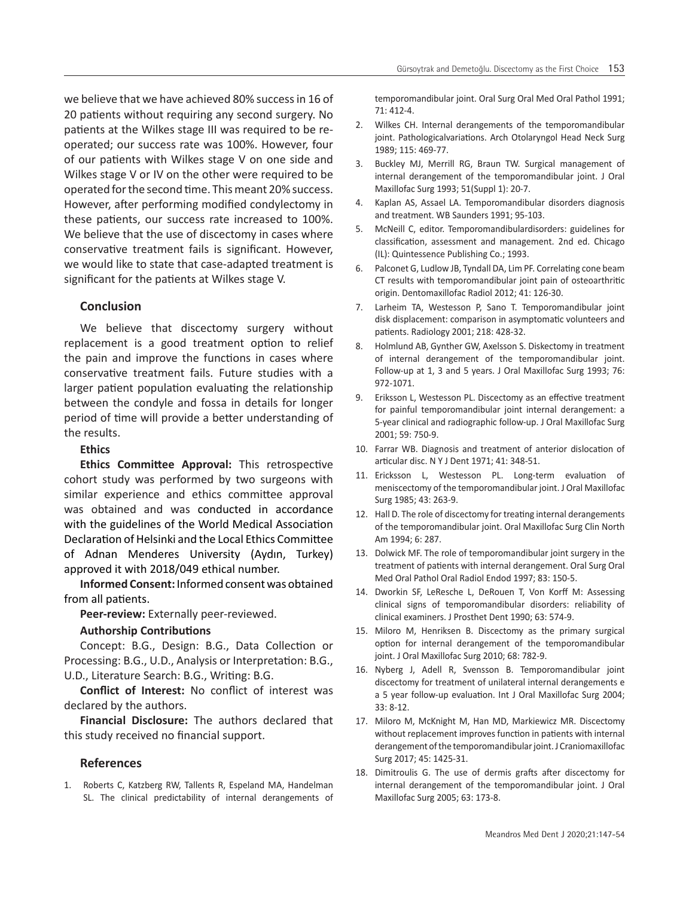we believe that we have achieved 80% success in 16 of 20 patients without requiring any second surgery. No patients at the Wilkes stage III was required to be reoperated; our success rate was 100%. However, four of our patients with Wilkes stage V on one side and Wilkes stage V or IV on the other were required to be operated for the second time. This meant 20% success. However, after performing modified condylectomy in these patients, our success rate increased to 100%. We believe that the use of discectomy in cases where conservative treatment fails is significant. However, we would like to state that case-adapted treatment is significant for the patients at Wilkes stage V.

# **Conclusion**

We believe that discectomy surgery without replacement is a good treatment option to relief the pain and improve the functions in cases where conservative treatment fails. Future studies with a larger patient population evaluating the relationship between the condyle and fossa in details for longer period of time will provide a better understanding of the results.

## **Ethics**

**Ethics Committee Approval:** This retrospective cohort study was performed by two surgeons with similar experience and ethics committee approval was obtained and was conducted in accordance with the guidelines of the World Medical Association Declaration of Helsinki and the Local Ethics Committee of Adnan Menderes University (Aydın, Turkey) approved it with 2018/049 ethical number.

**Informed Consent:** Informed consent was obtained from all patients.

**Peer-review:** Externally peer-reviewed.

#### **Authorship Contributions**

Concept: B.G., Design: B.G., Data Collection or Processing: B.G., U.D., Analysis or Interpretation: B.G., U.D., Literature Search: B.G., Writing: B.G.

**Conflict of Interest:** No conflict of interest was declared by the authors.

**Financial Disclosure:** The authors declared that this study received no financial support.

# **References**

1. Roberts C, Katzberg RW, Tallents R, Espeland MA, Handelman SL. The clinical predictability of internal derangements of temporomandibular joint. Oral Surg Oral Med Oral Pathol 1991; 71: 412-4.

- 2. Wilkes CH. Internal derangements of the temporomandibular joint. Pathologicalvariations. Arch Otolaryngol Head Neck Surg 1989; 115: 469-77.
- 3. Buckley MJ, Merrill RG, Braun TW. Surgical management of internal derangement of the temporomandibular joint. J Oral Maxillofac Surg 1993; 51(Suppl 1): 20-7.
- 4. Kaplan AS, Assael LA. Temporomandibular disorders diagnosis and treatment. WB Saunders 1991; 95-103.
- 5. McNeill C, editor. Temporomandibulardisorders: guidelines for classification, assessment and management. 2nd ed. Chicago (IL): Quintessence Publishing Co.; 1993.
- 6. Palconet G, Ludlow JB, Tyndall DA, Lim PF. Correlating cone beam CT results with temporomandibular joint pain of osteoarthritic origin. Dentomaxillofac Radiol 2012; 41: 126-30.
- 7. Larheim TA, Westesson P, Sano T. Temporomandibular joint disk displacement: comparison in asymptomatic volunteers and patients. Radiology 2001; 218: 428-32.
- 8. Holmlund AB, Gynther GW, Axelsson S. Diskectomy in treatment of internal derangement of the temporomandibular joint. Follow-up at 1, 3 and 5 years. J Oral Maxillofac Surg 1993; 76: 972-1071.
- 9. Eriksson L, Westesson PL. Discectomy as an effective treatment for painful temporomandibular joint internal derangement: a 5-year clinical and radiographic follow-up. J Oral Maxillofac Surg 2001; 59: 750-9.
- 10. Farrar WB. Diagnosis and treatment of anterior dislocation of articular disc. N Y J Dent 1971; 41: 348-51.
- 11. Ericksson L, Westesson PL. Long-term evaluation of meniscectomy of the temporomandibular joint. J Oral Maxillofac Surg 1985; 43: 263-9.
- 12. Hall D. The role of discectomy for treating internal derangements of the temporomandibular joint. Oral Maxillofac Surg Clin North Am 1994; 6: 287.
- 13. Dolwick MF. The role of temporomandibular joint surgery in the treatment of patients with internal derangement. Oral Surg Oral Med Oral Pathol Oral Radiol Endod 1997; 83: 150-5.
- 14. Dworkin SF, LeResche L, DeRouen T, Von Korff M: Assessing clinical signs of temporomandibular disorders: reliability of clinical examiners. J Prosthet Dent 1990; 63: 574-9.
- 15. Miloro M, Henriksen B. Discectomy as the primary surgical option for internal derangement of the temporomandibular joint. J Oral Maxillofac Surg 2010; 68: 782-9.
- 16. Nyberg J, Adell R, Svensson B. Temporomandibular joint discectomy for treatment of unilateral internal derangements e a 5 year follow-up evaluation. Int J Oral Maxillofac Surg 2004; 33: 8-12.
- 17. Miloro M, McKnight M, Han MD, Markiewicz MR. Discectomy without replacement improves function in patients with internal derangement of the temporomandibular joint. J Craniomaxillofac Surg 2017; 45: 1425-31.
- 18. Dimitroulis G. The use of dermis grafts after discectomy for internal derangement of the temporomandibular joint. J Oral Maxillofac Surg 2005; 63: 173-8.